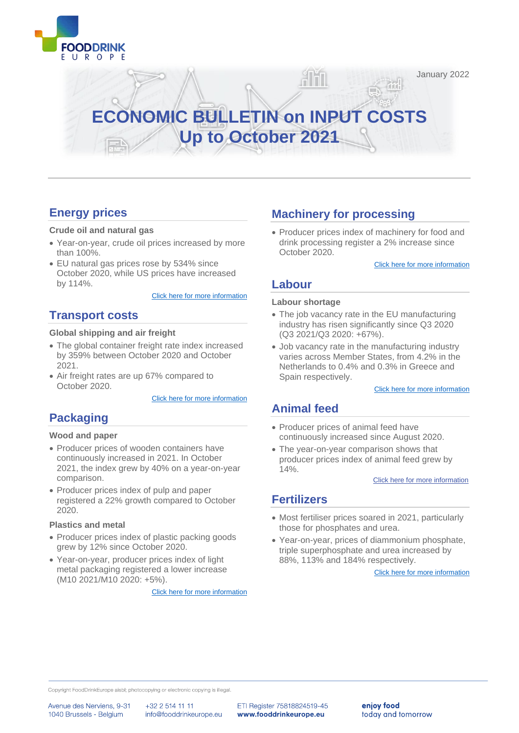

January 2022

# **ECONOMIC BULLETIN on INPUT COSTS Up to October 2021**

# **[Energy prices](#page-2-0)**

#### **Crude oil and natural gas**

- Year-on-year, crude oil prices increased by more than 100%.
- EU natural gas prices rose by 534% since October 2020, while US prices have increased by 114%.

[Click here for more information](#page-2-0)

### **[Transport costs](#page-3-0)**

#### **Global shipping and air freight**

- The global container freight rate index increased by 359% between October 2020 and October 2021.
- Air freight rates are up 67% compared to October 2020.

#### [Click here for more information](#page-3-0)

### **[Packaging](#page-10-0)**

#### **Wood and paper**

- Producer prices of wooden containers have continuously increased in 2021. In October 2021, the index grew by 40% on a year-on-year comparison.
- Producer prices index of pulp and paper registered a 22% growth compared to October 2020.

#### **Plastics and metal**

- Producer prices index of plastic packing goods grew by 12% since October 2020.
- Year-on-year, producer prices index of light metal packaging registered a lower increase (M10 2021/M10 2020: +5%).

[Click here for more information](#page-5-0)

### **[Machinery for processing](#page-7-0)**

• Producer prices index of machinery for food and drink processing register a 2% increase since October 2020.

[Click here for more information](#page-7-0)

### **Labour**

#### **Labour shortage**

<u>Alři</u>

- The job vacancy rate in the EU manufacturing industry has risen significantly since Q3 2020 (Q3 2021/Q3 2020: +67%).
- Job vacancy rate in the manufacturing industry varies across Member States, from 4.2% in the Netherlands to 0.4% and 0.3% in Greece and Spain respectively.

[Click here for more information](#page-8-0)

### **Animal feed**

- Producer prices of animal feed have continuously increased since August 2020.
- The year-on-year comparison shows that producer prices index of animal feed grew by 14%.

[Click here for more information](#page-9-0)

### **[Fertilizers](#page-10-0)**

- Most fertiliser prices soared in 2021, particularly those for phosphates and urea.
- Year-on-year, prices of diammonium phosphate, triple superphosphate and urea increased by 88%, 113% and 184% respectively.

[Click here for more information](#page-10-0)

Copyright FoodDrinkEurope aisbl; photocopying or electronic copying is illegal.

Avenue des Nerviens, 9-31 1040 Brussels - Belgium

+32 2 514 11 11 info@fooddrinkeurope.eu ETI Register 75818824519-45 www.fooddrinkeurope.eu

enjoy food today and tomorrow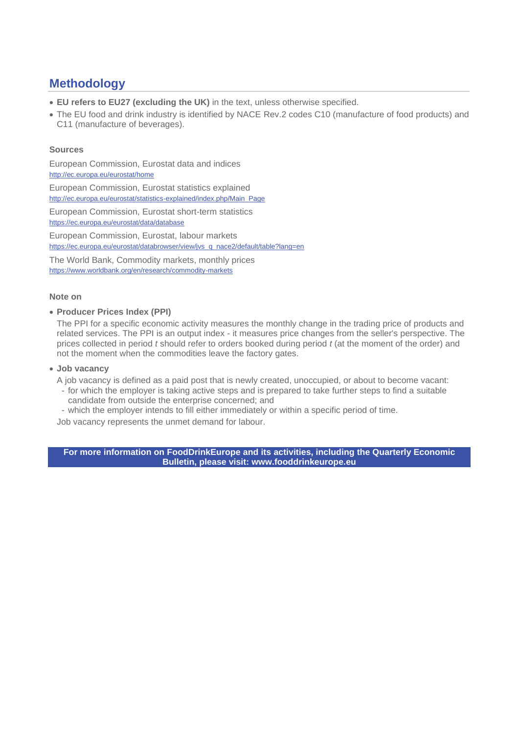# **Methodology**

- **EU refers to EU27 (excluding the UK)** in the text, unless otherwise specified.
- The EU food and drink industry is identified by NACE Rev.2 codes C10 (manufacture of food products) and C11 (manufacture of beverages).

#### **Sources**

European Commission, Eurostat data and indices <http://ec.europa.eu/eurostat/home>

European Commission, Eurostat statistics explained [http://ec.europa.eu/eurostat/statistics-explained/index.php/Main\\_Page](http://ec.europa.eu/eurostat/statistics-explained/index.php/Main_Page)

European Commission, Eurostat short-term statistics https://ec.europa.eu/eurostat/data/database

European Commission, Eurostat, labour markets https://ec.europa.eu/eurostat/databrowser/view/jvs\_q\_nace2/default/table?lang=en

The World Bank, Commodity markets, monthly prices https://www.worldbank.org/en/research/commodity-markets

#### **Note on**

#### • **Producer Prices Index (PPI)**

The PPI for a specific [economic activity](https://ec.europa.eu/eurostat/statistics-explained/index.php?title=Glossary:Statistical_classification_of_economic_activities_in_the_European_Community_(NACE)) measures the monthly change in the trading price of products and related services. The PPI is an output index - it measures price changes from the seller's perspective. The prices collected in period *t* should refer to orders booked during period *t* (at the moment of the order) and not the moment when the commodities leave the factory gates.

#### • **Job vacancy**

A job vacancy is defined as a paid post that is newly created, unoccupied, or about to become vacant:

- for which the employer is taking active steps and is prepared to take further steps to find a suitable candidate from outside the enterprise concerned; and
- which the employer intends to fill either immediately or within a specific period of time.

Job vacancy represents the unmet demand for labour.

**For more information on FoodDrinkEurope and its activities, including the Quarterly Economic Bulletin, please visit: [www.fooddrinkeurope.eu](http://www.fooddrinkeurope.eu/)**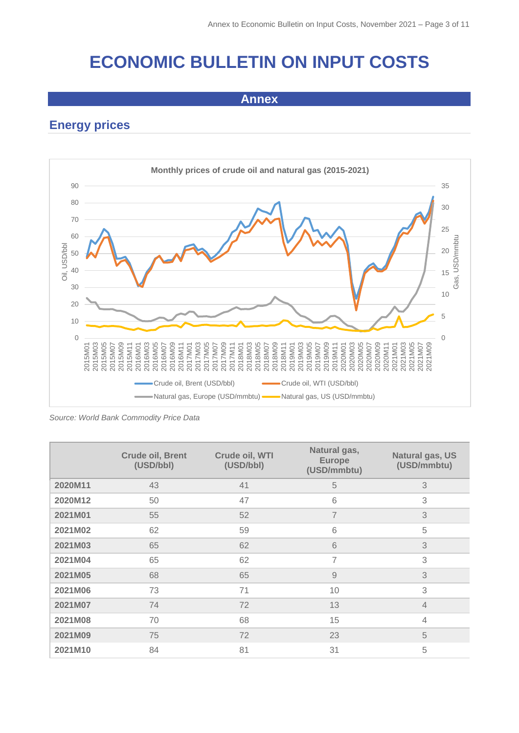# **ECONOMIC BULLETIN ON INPUT COSTS**

**Annex**

# <span id="page-2-0"></span>**Energy prices**



*Source: World Bank Commodity Price Data*

|         | <b>Crude oil, Brent</b><br>(USD/bbl) | Crude oil, WTI<br>(USD/bbl) | Natural gas,<br><b>Europe</b><br>(USD/mmbtu) | Natural gas, US<br>(USD/mmbtu) |
|---------|--------------------------------------|-----------------------------|----------------------------------------------|--------------------------------|
| 2020M11 | 43                                   | 41                          | 5                                            | 3                              |
| 2020M12 | 50                                   | 47                          | 6                                            | 3                              |
| 2021M01 | 55                                   | 52                          | $\overline{7}$                               | 3                              |
| 2021M02 | 62                                   | 59                          | 6                                            | 5                              |
| 2021M03 | 65                                   | 62                          | 6                                            | 3                              |
| 2021M04 | 65                                   | 62                          | $\overline{7}$                               | 3                              |
| 2021M05 | 68                                   | 65                          | $\overline{9}$                               | 3                              |
| 2021M06 | 73                                   | 71                          | 10                                           | 3                              |
| 2021M07 | 74                                   | 72                          | 13                                           | $\overline{4}$                 |
| 2021M08 | 70                                   | 68                          | 15                                           | $\overline{4}$                 |
| 2021M09 | 75                                   | 72                          | 23                                           | 5                              |
| 2021M10 | 84                                   | 81                          | 31                                           | 5                              |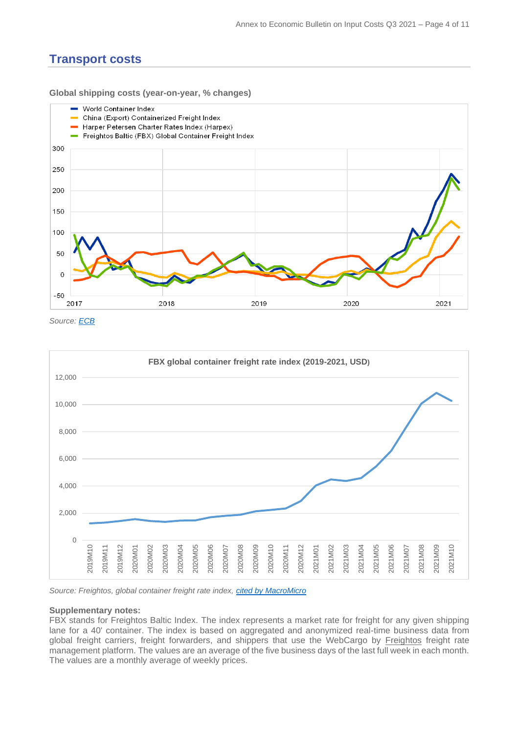### <span id="page-3-0"></span>**Transport costs**

**Global shipping costs (year-on-year, % changes)**



*Source: [ECB](https://www.ecb.europa.eu/pub/economic-bulletin/focus/2021/html/ecb.ebbox202103_01~8ecbf2b17c.en.html)*



*Source: Freightos, global container freight rate index, [cited by MacroMicro](https://en.macromicro.me/charts/35158/fbx-global-container-index)*

#### **Supplementary notes:**

FBX stands for Freightos Baltic Index. The index represents a market rate for freight for any given shipping lane for a 40' container. The index is based on aggregated and anonymized real-time business data from global freight carriers, freight forwarders, and shippers that use the WebCargo by [Freightos](https://fbx.freightos.com/) freight rate management platform. The values are an average of the five business days of the last full week in each month. The values are a monthly average of weekly prices.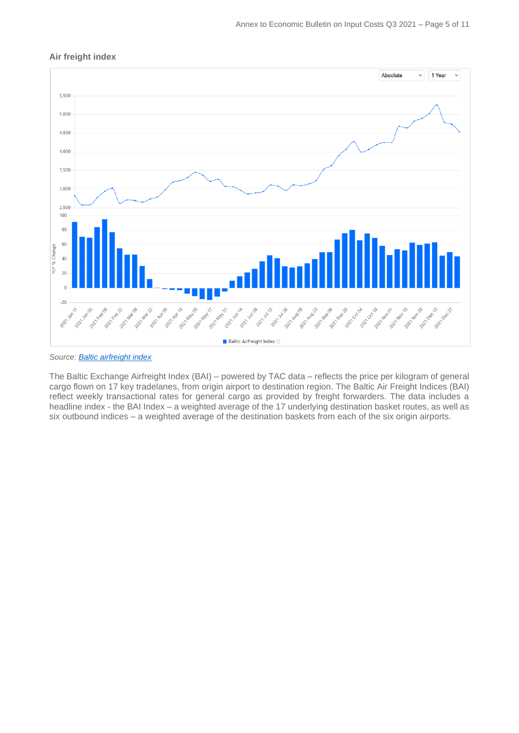



*Source: [Baltic airfreight index](https://www.balticexchange.com/en/data-services/routes.html)*

The Baltic Exchange Airfreight Index (BAI) – powered by TAC data – reflects the price per kilogram of general cargo flown on 17 key tradelanes, from origin airport to destination region. The Baltic Air Freight Indices (BAI) reflect weekly transactional rates for general cargo as provided by freight forwarders. The data includes a headline index - the BAI Index – a weighted average of the 17 underlying destination basket routes, as well as six outbound indices – a weighted average of the destination baskets from each of the six origin airports.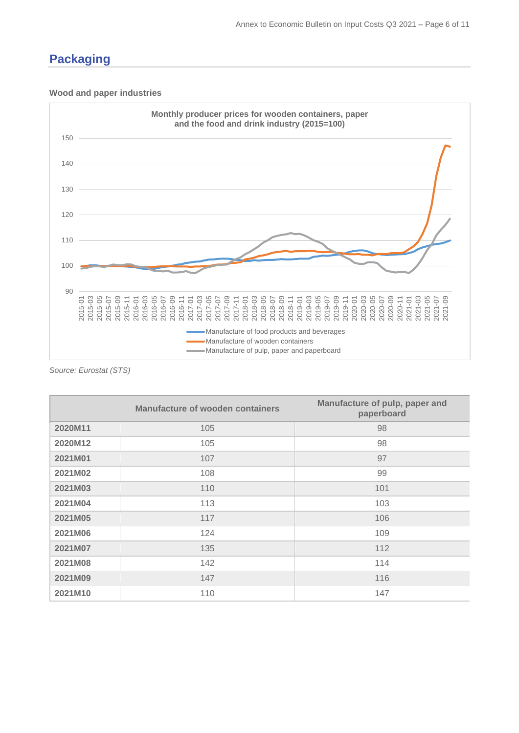## <span id="page-5-0"></span>**Packaging**

#### **Wood and paper industries**



*Source: Eurostat (STS)*

|         | Manufacture of wooden containers | Manufacture of pulp, paper and<br>paperboard |
|---------|----------------------------------|----------------------------------------------|
| 2020M11 | 105                              | 98                                           |
| 2020M12 | 105                              | 98                                           |
| 2021M01 | 107                              | 97                                           |
| 2021M02 | 108                              | 99                                           |
| 2021M03 | 110                              | 101                                          |
| 2021M04 | 113                              | 103                                          |
| 2021M05 | 117                              | 106                                          |
| 2021M06 | 124                              | 109                                          |
| 2021M07 | 135                              | 112                                          |
| 2021M08 | 142                              | 114                                          |
| 2021M09 | 147                              | 116                                          |
| 2021M10 | 110                              | 147                                          |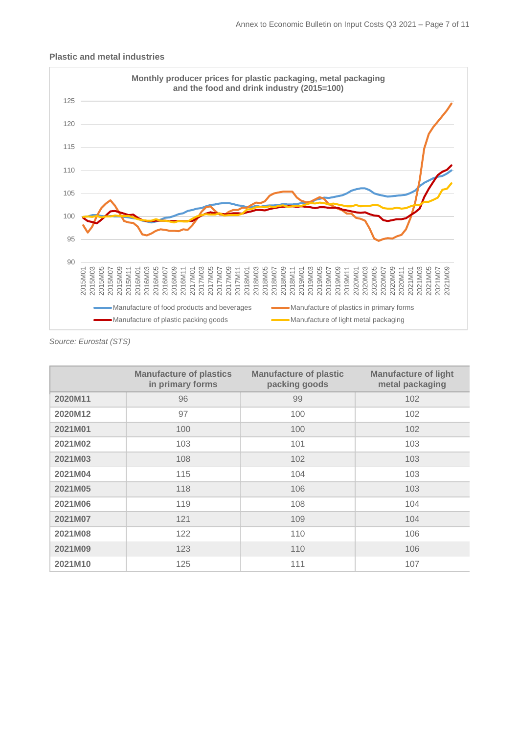

#### **Plastic and metal industries**

*Source: Eurostat (STS)*

|         | <b>Manufacture of plastics</b><br>in primary forms | <b>Manufacture of plastic</b><br>packing goods | <b>Manufacture of light</b><br>metal packaging |
|---------|----------------------------------------------------|------------------------------------------------|------------------------------------------------|
| 2020M11 | 96                                                 | 99                                             | 102                                            |
| 2020M12 | 97                                                 | 100                                            | 102                                            |
| 2021M01 | 100                                                | 100                                            | 102                                            |
| 2021M02 | 103                                                | 101                                            | 103                                            |
| 2021M03 | 108                                                | 102                                            | 103                                            |
| 2021M04 | 115                                                | 104                                            | 103                                            |
| 2021M05 | 118                                                | 106                                            | 103                                            |
| 2021M06 | 119                                                | 108                                            | 104                                            |
| 2021M07 | 121                                                | 109                                            | 104                                            |
| 2021M08 | 122                                                | 110                                            | 106                                            |
| 2021M09 | 123                                                | 110                                            | 106                                            |
| 2021M10 | 125                                                | 111                                            | 107                                            |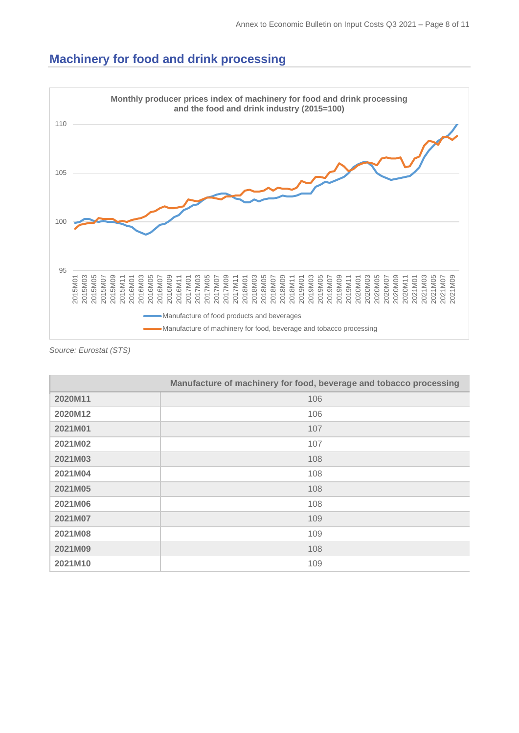# <span id="page-7-0"></span>**Machinery for food and drink processing**



*Source: Eurostat (STS)*

|         | Manufacture of machinery for food, beverage and tobacco processing |
|---------|--------------------------------------------------------------------|
| 2020M11 | 106                                                                |
| 2020M12 | 106                                                                |
| 2021M01 | 107                                                                |
| 2021M02 | 107                                                                |
| 2021M03 | 108                                                                |
| 2021M04 | 108                                                                |
| 2021M05 | 108                                                                |
| 2021M06 | 108                                                                |
| 2021M07 | 109                                                                |
| 2021M08 | 109                                                                |
| 2021M09 | 108                                                                |
| 2021M10 | 109                                                                |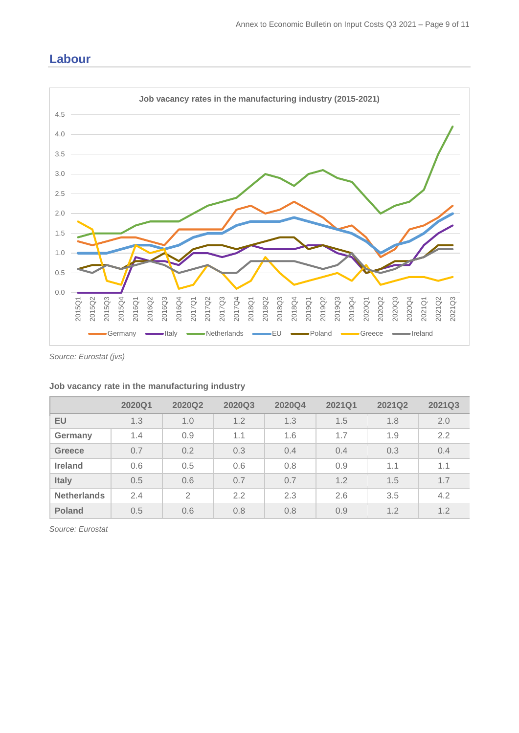# <span id="page-8-0"></span>**Labour**



*Source: Eurostat (jvs)*

|                    | 2020Q1 | 2020Q2         | 2020Q3 | 2020Q4 | 2021Q1 | <b>2021Q2</b> | 2021Q3 |
|--------------------|--------|----------------|--------|--------|--------|---------------|--------|
| EU                 | 1.3    | 1.0            | 1.2    | 1.3    | 1.5    | 1.8           | 2.0    |
| Germany            | 1.4    | 0.9            | 1.1    | 1.6    | 1.7    | 1.9           | 2.2    |
| <b>Greece</b>      | 0.7    | 0.2            | 0.3    | 0.4    | 0.4    | 0.3           | 0.4    |
| <b>Ireland</b>     | 0.6    | 0.5            | 0.6    | 0.8    | 0.9    | 1.1           | 1.1    |
| <b>Italy</b>       | 0.5    | 0.6            | 0.7    | 0.7    | 1.2    | 1.5           | 1.7    |
| <b>Netherlands</b> | 2.4    | $\overline{2}$ | 2.2    | 2.3    | 2.6    | 3.5           | 4.2    |
| <b>Poland</b>      | 0.5    | 0.6            | 0.8    | 0.8    | 0.9    | 1.2           | 1.2    |

#### **Job vacancy rate in the manufacturing industry**

*Source: Eurostat*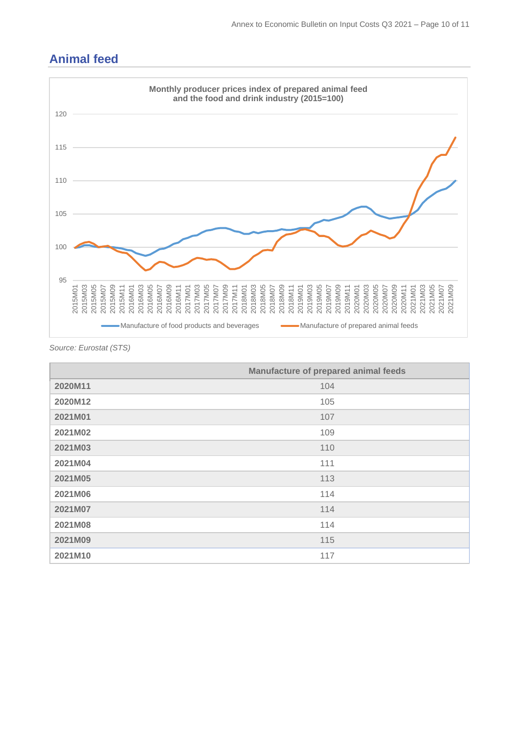<span id="page-9-0"></span>



*Source: Eurostat (STS)*

|         | Manufacture of prepared animal feeds |
|---------|--------------------------------------|
| 2020M11 | 104                                  |
| 2020M12 | 105                                  |
| 2021M01 | 107                                  |
| 2021M02 | 109                                  |
| 2021M03 | 110                                  |
| 2021M04 | 111                                  |
| 2021M05 | 113                                  |
| 2021M06 | 114                                  |
| 2021M07 | 114                                  |
| 2021M08 | 114                                  |
| 2021M09 | 115                                  |
| 2021M10 | 117                                  |